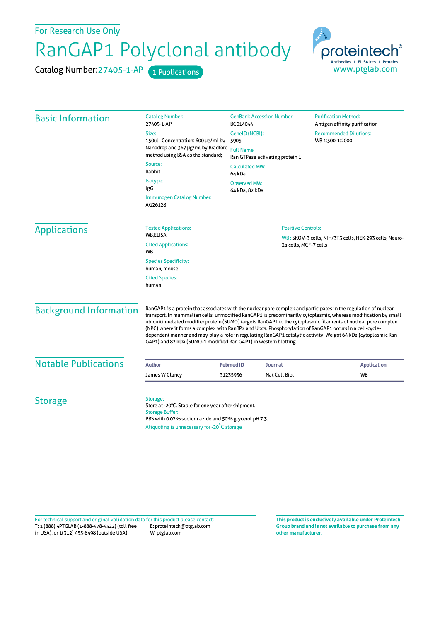For Research Use Only

## RanGAP1 Polyclonal antibody

Catalog Number: 27405-1-AP 1 Publications



| <b>Basic Information</b>      | <b>Catalog Number:</b><br>27405-1-AP                                                                                                                                                                                                                                                                                                                                                                                                                                                                                                                                                                                                                | <b>GenBank Accession Number:</b><br>BC014044                                    | <b>Purification Method:</b><br>Antigen affinity purification |
|-------------------------------|-----------------------------------------------------------------------------------------------------------------------------------------------------------------------------------------------------------------------------------------------------------------------------------------------------------------------------------------------------------------------------------------------------------------------------------------------------------------------------------------------------------------------------------------------------------------------------------------------------------------------------------------------------|---------------------------------------------------------------------------------|--------------------------------------------------------------|
|                               | Size:                                                                                                                                                                                                                                                                                                                                                                                                                                                                                                                                                                                                                                               | GeneID (NCBI):                                                                  | <b>Recommended Dilutions:</b>                                |
|                               | 150ul, Concentration: 600 µg/ml by<br>Nanodrop and 367 µg/ml by Bradford<br>method using BSA as the standard;                                                                                                                                                                                                                                                                                                                                                                                                                                                                                                                                       | 5905                                                                            | WB 1:500-1:2000                                              |
|                               |                                                                                                                                                                                                                                                                                                                                                                                                                                                                                                                                                                                                                                                     | <b>Full Name:</b><br>Ran GTPase activating protein 1                            |                                                              |
|                               | Source:<br>Rabbit                                                                                                                                                                                                                                                                                                                                                                                                                                                                                                                                                                                                                                   | <b>Calculated MW:</b><br>64 kDa                                                 |                                                              |
|                               | Isotype:<br>IgG                                                                                                                                                                                                                                                                                                                                                                                                                                                                                                                                                                                                                                     | <b>Observed MW:</b><br>64 kDa, 82 kDa                                           |                                                              |
|                               | Immunogen Catalog Number:<br>AG26128                                                                                                                                                                                                                                                                                                                                                                                                                                                                                                                                                                                                                |                                                                                 |                                                              |
| <b>Applications</b>           | <b>Tested Applications:</b>                                                                                                                                                                                                                                                                                                                                                                                                                                                                                                                                                                                                                         |                                                                                 | <b>Positive Controls:</b>                                    |
|                               | <b>WB,ELISA</b>                                                                                                                                                                                                                                                                                                                                                                                                                                                                                                                                                                                                                                     | WB: SKOV-3 cells, NIH/3T3 cells, HEK-293 cells, Neuro-<br>2a cells, MCF-7 cells |                                                              |
|                               | <b>Cited Applications:</b><br><b>WB</b>                                                                                                                                                                                                                                                                                                                                                                                                                                                                                                                                                                                                             |                                                                                 |                                                              |
|                               | <b>Species Specificity:</b><br>human, mouse                                                                                                                                                                                                                                                                                                                                                                                                                                                                                                                                                                                                         |                                                                                 |                                                              |
|                               | <b>Cited Species:</b><br>human                                                                                                                                                                                                                                                                                                                                                                                                                                                                                                                                                                                                                      |                                                                                 |                                                              |
| <b>Background Information</b> | RanGAP1 is a protein that associates with the nuclear pore complex and participates in the regulation of nuclear<br>transport. In mammalian cells, unmodified RanGAP1 is predominantly cytoplasmic, whereas modification by small<br>ubiquitin-related modifier protein (SUMO) targets RanGAP1 to the cytoplasmic filaments of nuclear pore complex<br>(NPC) where it forms a complex with RanBP2 and Ubc9. Phosphorylation of RanGAP1 occurs in a cell-cycle-<br>dependent manner and may play a role in regulating RanGAP1 catalytic activity. We got 64 kDa (cytoplasmic Ran<br>GAP1) and 82 kDa (SUMO-1 modified Ran GAP1) in western blotting. |                                                                                 |                                                              |
| <b>Notable Publications</b>   | <b>Author</b>                                                                                                                                                                                                                                                                                                                                                                                                                                                                                                                                                                                                                                       | <b>Pubmed ID</b><br><b>Journal</b>                                              | <b>Application</b>                                           |
|                               | James W Clancy                                                                                                                                                                                                                                                                                                                                                                                                                                                                                                                                                                                                                                      | Nat Cell Biol<br>31235936                                                       | WB                                                           |
| <b>Storage</b>                | Storage:<br>Store at -20°C. Stable for one year after shipment.<br><b>Storage Buffer:</b><br>PBS with 0.02% sodium azide and 50% glycerol pH 7.3.<br>Aliquoting is unnecessary for -20°C storage                                                                                                                                                                                                                                                                                                                                                                                                                                                    |                                                                                 |                                                              |

T: 1 (888) 4PTGLAB (1-888-478-4522) (toll free in USA), or 1(312) 455-8498 (outside USA) E: proteintech@ptglab.com W: ptglab.com Fortechnical support and original validation data forthis product please contact: **This productis exclusively available under Proteintech**

**Group brand and is not available to purchase from any other manufacturer.**